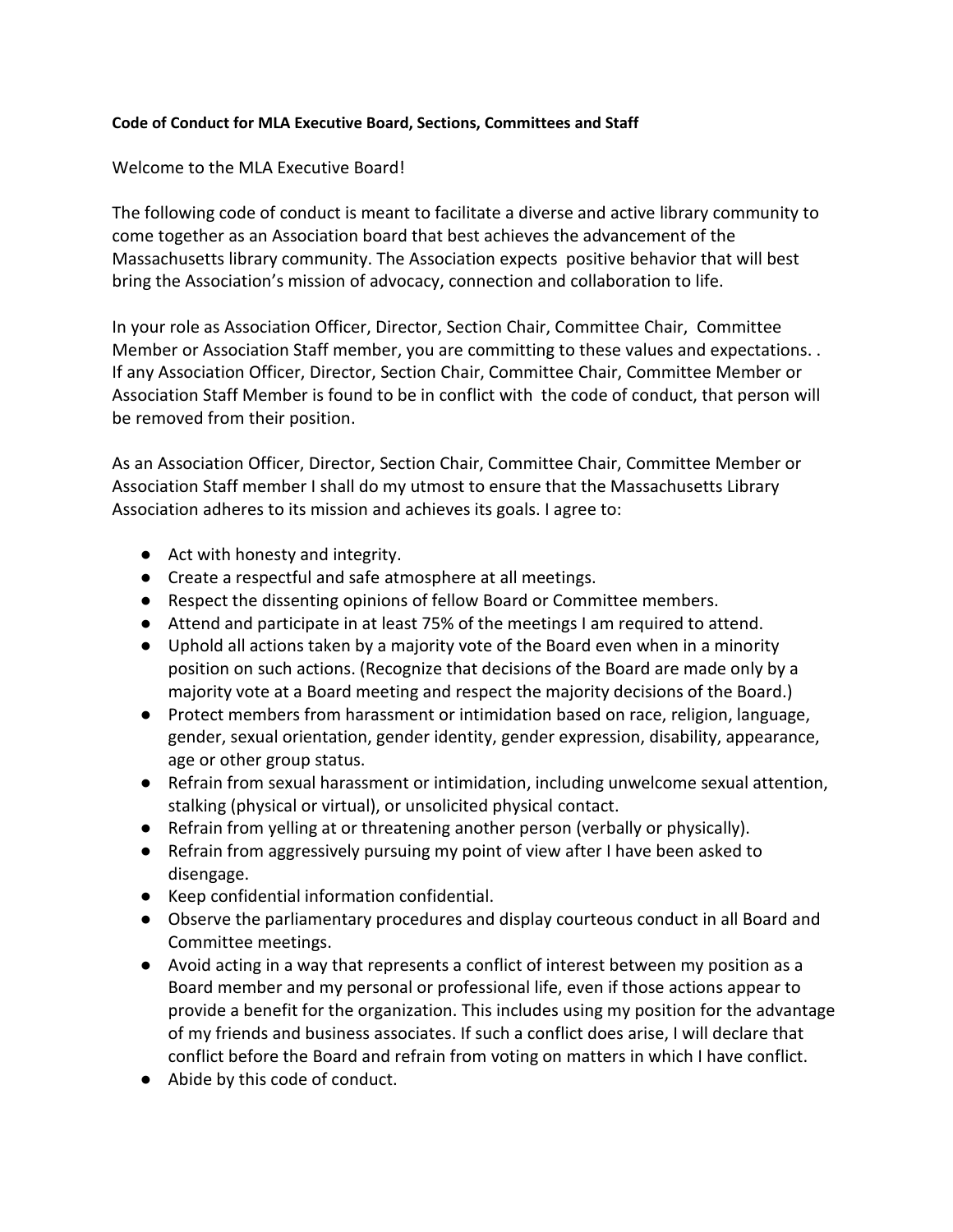#### **Code of Conduct for MLA Executive Board, Sections, Committees and Staff**

#### Welcome to the MLA Executive Board!

The following code of conduct is meant to facilitate a diverse and active library community to come together as an Association board that best achieves the advancement of the Massachusetts library community. The Association expects positive behavior that will best bring the Association's mission of advocacy, connection and collaboration to life.

In your role as Association Officer, Director, Section Chair, Committee Chair, Committee Member or Association Staff member, you are committing to these values and expectations. . If any Association Officer, Director, Section Chair, Committee Chair, Committee Member or Association Staff Member is found to be in conflict with the code of conduct, that person will be removed from their position.

As an Association Officer, Director, Section Chair, Committee Chair, Committee Member or Association Staff member I shall do my utmost to ensure that the Massachusetts Library Association adheres to its mission and achieves its goals. I agree to:

- Act with honesty and integrity.
- Create a respectful and safe atmosphere at all meetings.
- Respect the dissenting opinions of fellow Board or Committee members.
- Attend and participate in at least 75% of the meetings I am required to attend.
- Uphold all actions taken by a majority vote of the Board even when in a minority position on such actions. (Recognize that decisions of the Board are made only by a majority vote at a Board meeting and respect the majority decisions of the Board.)
- Protect members from harassment or intimidation based on race, religion, language, gender, sexual orientation, gender identity, gender expression, disability, appearance, age or other group status.
- Refrain from sexual harassment or intimidation, including unwelcome sexual attention, stalking (physical or virtual), or unsolicited physical contact.
- Refrain from yelling at or threatening another person (verbally or physically).
- Refrain from aggressively pursuing my point of view after I have been asked to disengage.
- Keep confidential information confidential.
- Observe the parliamentary procedures and display courteous conduct in all Board and Committee meetings.
- Avoid acting in a way that represents a conflict of interest between my position as a Board member and my personal or professional life, even if those actions appear to provide a benefit for the organization. This includes using my position for the advantage of my friends and business associates. If such a conflict does arise, I will declare that conflict before the Board and refrain from voting on matters in which I have conflict.
- Abide by this code of conduct.